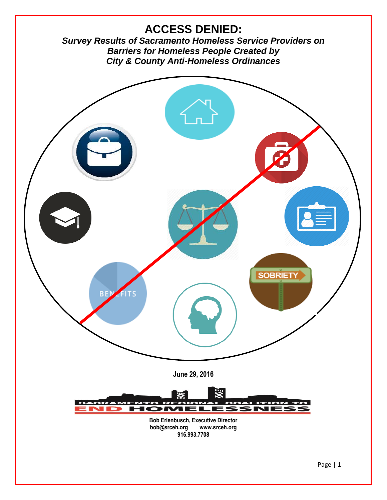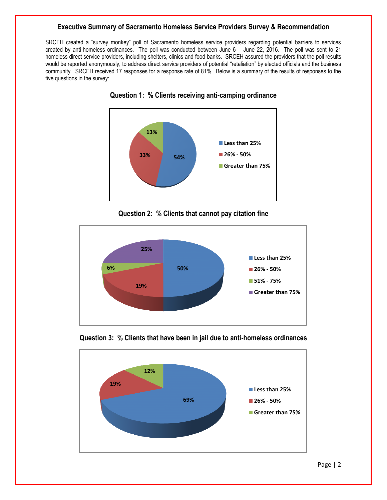# **Executive Summary of Sacramento Homeless Service Providers Survey & Recommendation**

SRCEH created a "survey monkey" poll of Sacramento homeless service providers regarding potential barriers to services created by anti-homeless ordinances. The poll was conducted between June 6 – June 22, 2016. The poll was sent to 21 homeless direct service providers, including shelters, clinics and food banks. SRCEH assured the providers that the poll results would be reported anonymously, to address direct service providers of potential "retaliation" by elected officials and the business community. SRCEH received 17 responses for a response rate of 81%. Below is a summary of the results of responses to the five questions in the survey:



**Question 1: % Clients receiving anti-camping ordinance**





**Question 3: % Clients that have been in jail due to anti-homeless ordinances**

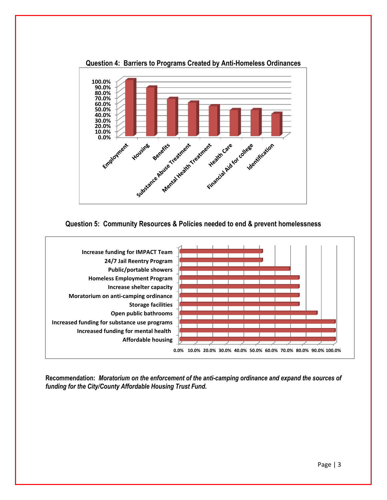

**Question 4: Barriers to Programs Created by Anti-Homeless Ordinances**





**Recommendation:** *Moratorium on the enforcement of the anti-camping ordinance and expand the sources of funding for the City/County Affordable Housing Trust Fund.*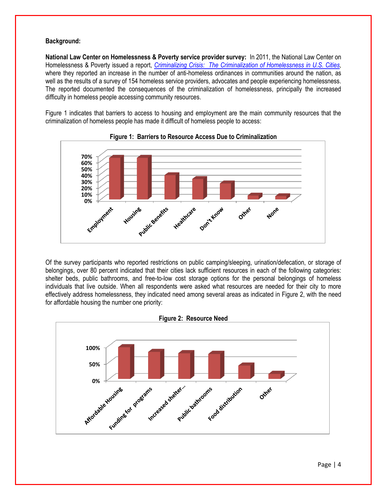# **Background:**

**National Law Center on Homelessness & Poverty service provider survey:**In 2011, the National Law Center on Homelessness & Poverty issued a report, *[Criminalizing Crisis: The Criminalization of Homelessness in U.S. Cities,](file://///nicresource1.nic.nicfoundation.com/ssf/users/berlenbusch/NLCHP/11.14.11%20Criminalization%20Report%20&%20Advocacy%20Manual,%20FINAL1.pdf)*  where they reported an increase in the number of anti-homeless ordinances in communities around the nation, as well as the results of a survey of 154 homeless service providers, advocates and people experiencing homelessness. The reported documented the consequences of the criminalization of homelessness, principally the increased difficulty in homeless people accessing community resources.

Figure 1 indicates that barriers to access to housing and employment are the main community resources that the criminalization of homeless people has made it difficult of homeless people to access:





Of the survey participants who reported restrictions on public camping/sleeping, urination/defecation, or storage of belongings, over 80 percent indicated that their cities lack sufficient resources in each of the following categories: shelter beds, public bathrooms, and free-to-low cost storage options for the personal belongings of homeless individuals that live outside. When all respondents were asked what resources are needed for their city to more effectively address homelessness, they indicated need among several areas as indicated in Figure 2, with the need for affordable housing the number one priority:

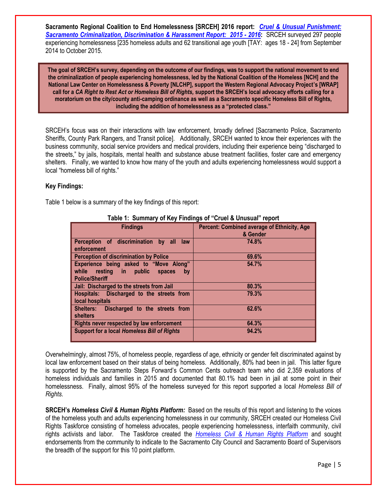**Sacramento Regional Coalition to End Homelessness [SRCEH] 2016 report:** *[Cruel & Unusual Punishment:](file://///nicresource1.nic.nicfoundation.com/ssf/users/berlenbusch/SRCEH/Civil%20Rights%20Project/report/REPORT---%20%20FINAL%201-11-16.pdf)  [Sacramento Criminalization, Discrimination & Harassment Report: 2015 -](file://///nicresource1.nic.nicfoundation.com/ssf/users/berlenbusch/SRCEH/Civil%20Rights%20Project/report/REPORT---%20%20FINAL%201-11-16.pdf) 2016***:** SRCEH surveyed 297 people experiencing homelessness [235 homeless adults and 62 transitional age youth [TAY: ages 18 - 24] from September 2014 to October 2015.

**The goal of SRCEH's survey, depending on the outcome of our findings, was to support the national movement to end the criminalization of people experiencing homelessness, led by the National Coalition of the Homeless [NCH] and the National Law Center on Homelessness & Poverty [NLCHP], support the Western Regional Advocacy Project's [WRAP] call for a** *CA Right to Rest Act or Homeless Bill of Rights,* **support the SRCEH's local advocacy efforts calling for a moratorium on the city/county anti-camping ordinance as well as a Sacramento specific Homeless Bill of Rights, including the addition of homelessness as a "protected class."**

SRCEH's focus was on their interactions with law enforcement, broadly defined [Sacramento Police, Sacramento Sheriffs, County Park Rangers, and Transit police]. Additionally, SRCEH wanted to know their experiences with the business community, social service providers and medical providers, including their experience being "discharged to the streets," by jails, hospitals, mental health and substance abuse treatment facilities, foster care and emergency shelters. Finally, we wanted to know how many of the youth and adults experiencing homelessness would support a local "homeless bill of rights."

# **Key Findings:**

Table 1 below is a summary of the key findings of this report:

| <b>Findings</b>                                                                                            | Percent: Combined average of Ethnicity, Age<br>& Gender |
|------------------------------------------------------------------------------------------------------------|---------------------------------------------------------|
| Perception of discrimination by all<br><b>law</b><br>enforcement                                           | 74.8%                                                   |
| <b>Perception of discrimination by Police</b>                                                              | 69.6%                                                   |
| Experience being asked to "Move Along"<br>while resting in public<br>spaces<br>by<br><b>Police/Sheriff</b> | 54.7%                                                   |
| Jail: Discharged to the streets from Jail                                                                  | 80.3%                                                   |
| Hospitals: Discharged to the streets from<br>local hospitals                                               | 79.3%                                                   |
| Shelters: Discharged to the streets from<br><b>shelters</b>                                                | 62.6%                                                   |
| Rights never respected by law enforcement                                                                  | 64.3%                                                   |
| <b>Support for a local Homeless Bill of Rights</b>                                                         | 94.2%                                                   |

# **Table 1: Summary of Key Findings of "Cruel & Unusual" report**

Overwhelmingly, almost 75%, of homeless people, regardless of age, ethnicity or gender felt discriminated against by local law enforcement based on their status of being homeless. Additionally, 80% had been in jail. This latter figure is supported by the Sacramento Steps Forward's Common Cents outreach team who did 2,359 evaluations of homeless individuals and families in 2015 and documented that 80.1% had been in jail at some point in their homelessness. Finally, almost 95% of the homeless surveyed for this report supported a local *Homeless Bill of Rights.*

**SRCEH's** *Homeless Civil & Human Rights Platform:* Based on the results of this report and listening to the voices of the homeless youth and adults experiencing homelessness in our community, SRCEH created our Homeless Civil Rights Taskforce consisting of homeless advocates, people experiencing homelessness, interfaith community, civil rights activists and labor. The Taskforce created the *[Homeless Civil & Human Rights Platform](file://///nicresource1.nic.nicfoundation.com/ssf/users/berlenbusch/SRCEH/Civil%20Rights%20Project/Homeless%20Civil%20Rights%20Taskforce/Platform/Platform-%20final-%20added%20endorsement%206-3-16.pdf)* and sought endorsements from the community to indicate to the Sacramento City Council and Sacramento Board of Supervisors the breadth of the support for this 10 point platform.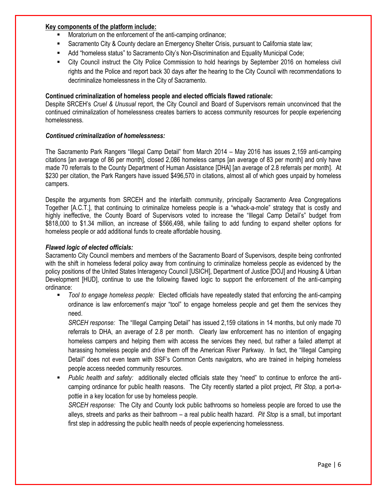# **Key components of the platform include:**

- Moratorium on the enforcement of the anti-camping ordinance;
- Sacramento City & County declare an Emergency Shelter Crisis, pursuant to California state law;
- Add "homeless status" to Sacramento City's Non-Discrimination and Equality Municipal Code;
- City Council instruct the City Police Commission to hold hearings by September 2016 on homeless civil rights and the Police and report back 30 days after the hearing to the City Council with recommendations to decriminalize homelessness in the City of Sacramento.

# **Continued criminalization of homeless people and elected officials flawed rationale:**

Despite SRCEH's *Cruel & Unusual* report, the City Council and Board of Supervisors remain unconvinced that the continued criminalization of homelessness creates barriers to access community resources for people experiencing homelessness.

### *Continued criminalization of homelessness:*

The Sacramento Park Rangers "Illegal Camp Detail" from March 2014 – May 2016 has issues 2,159 anti-camping citations [an average of 86 per month], closed 2,086 homeless camps [an average of 83 per month] and only have made 70 referrals to the County Department of Human Assistance [DHA] [an average of 2.8 referrals per month]. At \$230 per citation, the Park Rangers have issued \$496,570 in citations, almost all of which goes unpaid by homeless campers.

Despite the arguments from SRCEH and the interfaith community, principally Sacramento Area Congregations Together [A.C.T.], that continuing to criminalize homeless people is a "whack-a-mole" strategy that is costly and highly ineffective, the County Board of Supervisors voted to increase the "Illegal Camp Detail's" budget from \$818,000 to \$1.34 million, an increase of \$566,498, while failing to add funding to expand shelter options for homeless people or add additional funds to create affordable housing.

### *Flawed logic of elected officials:*

Sacramento City Council members and members of the Sacramento Board of Supervisors, despite being confronted with the shift in homeless federal policy away from continuing to criminalize homeless people as evidenced by the policy positions of the United States Interagency Council [USICH], Department of Justice [DOJ] and Housing & Urban Development [HUD], continue to use the following flawed logic to support the enforcement of the anti-camping ordinance:

 *Tool to engage homeless people:* Elected officials have repeatedly stated that enforcing the anti-camping ordinance is law enforcement's major "tool" to engage homeless people and get them the services they need.

*SRCEH response:* The "Illegal Camping Detail" has issued 2,159 citations in 14 months, but only made 70 referrals to DHA, an average of 2.8 per month. Clearly law enforcement has no intention of engaging homeless campers and helping them with access the services they need, but rather a failed attempt at harassing homeless people and drive them off the American River Parkway. In fact, the "Illegal Camping Detail" does not even team with SSF's Common Cents navigators, who are trained in helping homeless people access needed community resources.

 *Public health and safety:* additionally elected officials state they "need" to continue to enforce the anticamping ordinance for public health reasons. The City recently started a pilot project, *Pit Stop,* a port-apottie in a key location for use by homeless people.

*SRCEH response:* The City and County lock public bathrooms so homeless people are forced to use the alleys, streets and parks as their bathroom – a real public health hazard. *Pit Stop* is a small, but important first step in addressing the public health needs of people experiencing homelessness.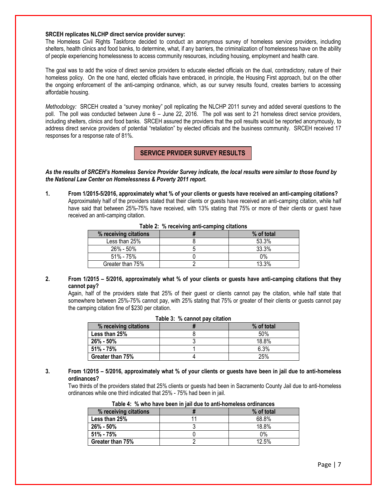#### **SRCEH replicates NLCHP direct service provider survey:**

The Homeless Civil Rights Taskforce decided to conduct an anonymous survey of homeless service providers, including shelters, health clinics and food banks, to determine, what, if any barriers, the criminalization of homelessness have on the ability of people experiencing homelessness to access community resources, including housing, employment and health care.

The goal was to add the voice of direct service providers to educate elected officials on the dual, contradictory, nature of their homeless policy. On the one hand, elected officials have embraced, in principle, the Housing First approach, but on the other the ongoing enforcement of the anti-camping ordinance, which, as our survey results found, creates barriers to accessing affordable housing.

*Methodology:* SRCEH created a "survey monkey" poll replicating the NLCHP 2011 survey and added several questions to the poll. The poll was conducted between June 6 – June 22, 2016. The poll was sent to 21 homeless direct service providers, including shelters, clinics and food banks. SRCEH assured the providers that the poll results would be reported anonymously, to address direct service providers of potential "retaliation" by elected officials and the business community. SRCEH received 17 responses for a response rate of 81%.

# **SERVICE PRVIDER SURVEY RESULTS**

*As the results of SRCEH's Homeless Service Provider Survey indicate, the local results were similar to those found by the National Law Center on Homelessness & Poverty 2011 report.*

**1. From 1/2015-5/2016, approximately what % of your clients or guests have received an anti-camping citations?** Approximately half of the providers stated that their clients or guests have received an anti-camping citation, while half have said that between 25%-75% have received, with 13% stating that 75% or more of their clients or guest have received an anti-camping citation.

| <b>EXAMPLE:</b> 70 TOOOTTING WITH OWNER ORDER ON THE |  |            |  |
|------------------------------------------------------|--|------------|--|
| % receiving citations                                |  | % of total |  |
| Less than 25%                                        |  | 53.3%      |  |
| 26% - 50%                                            |  | 33.3%      |  |
| 51% - 75%                                            |  | 0%         |  |
| Greater than 75%                                     |  | 13.3%      |  |

**Table 2: % receiving anti-camping citations**

**2. From 1/2015 – 5/2016, approximately what % of your clients or guests have anti-camping citations that they cannot pay?**

Again, half of the providers state that 25% of their guest or clients cannot pay the citation, while half state that somewhere between 25%-75% cannot pay, with 25% stating that 75% or greater of their clients or guests cannot pay the camping citation fine of \$230 per citation.

| $1.4010$ of $10.0011110$ , $1.41$ of $1.411011$ |  |            |  |
|-------------------------------------------------|--|------------|--|
| % receiving citations                           |  | % of total |  |
| Less than 25%                                   |  | 50%        |  |
| $26\% - 50\%$                                   |  | 18.8%      |  |
| $51\% - 75\%$                                   |  | 6.3%       |  |
| Greater than 75%                                |  | 25%        |  |

**Table 3: % cannot pay citation**

### **3. From 1/2015 – 5/2016, approximately what % of your clients or guests have been in jail due to anti-homeless ordinances?**

Two thirds of the providers stated that 25% clients or guests had been in Sacramento County Jail due to anti-homeless ordinances while one third indicated that 25% - 75% had been in jail.

| % receiving citations |  | % of total |  |
|-----------------------|--|------------|--|
| Less than 25%         |  | 68.8%      |  |
| 26% - 50%             |  | 18.8%      |  |
| 51% - 75%             |  | 0%         |  |
| Greater than 75%      |  | 12.5%      |  |

| Table 4: % who have been in jail due to anti-homeless ordinances |  |
|------------------------------------------------------------------|--|
|------------------------------------------------------------------|--|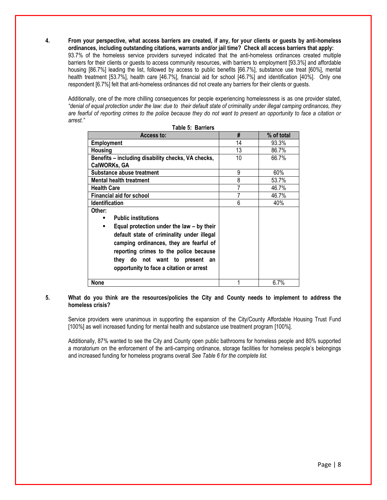**4. From your perspective, what access barriers are created, if any, for your clients or guests by anti-homeless ordinances, including outstanding citations, warrants and/or jail time? Check all access barriers that apply:** 93.7% of the homeless service providers surveyed indicated that the anti-homeless ordinances created multiple barriers for their clients or guests to access community resources, with barriers to employment [93.3%] and affordable housing [86.7%] leading the list, followed by access to public benefits [66.7%], substance use treat [60%], mental health treatment [53.7%], health care [46.7%], financial aid for school [46.7%] and identification [40%]. Only one respondent [6.7%] felt that anti-homeless ordinances did not create any barriers for their clients or guests.

Additionally, one of the more chilling consequences for people experiencing homelessness is as one provider stated, *"denial of equal protection under the law: due to their default state of criminality under illegal camping ordinances, they are fearful of reporting crimes to the police because they do not want to present an opportunity to face a citation or arrest."* 

| Access to:                                         | #  | % of total |
|----------------------------------------------------|----|------------|
| <b>Employment</b>                                  | 14 | 93.3%      |
| <b>Housing</b>                                     | 13 | 86.7%      |
| Benefits – including disability checks, VA checks, | 10 | 66.7%      |
| CalWORKs, GA                                       |    |            |
| Substance abuse treatment                          | 9  | 60%        |
| <b>Mental health treatment</b>                     | 8  | 53.7%      |
| <b>Health Care</b>                                 | 7  | 46.7%      |
| <b>Financial aid for school</b>                    | 7  | 46.7%      |
| <b>Identification</b>                              | 6  | 40%        |
| Other:                                             |    |            |
| <b>Public institutions</b>                         |    |            |
| Equal protection under the law – by their<br>٠     |    |            |
| default state of criminality under illegal         |    |            |
| camping ordinances, they are fearful of            |    |            |
| reporting crimes to the police because             |    |            |
| they do not want to present<br>an                  |    |            |
|                                                    |    |            |
| opportunity to face a citation or arrest           |    |            |
|                                                    |    |            |
| <b>None</b>                                        |    | 6.7%       |

|  | Table 5: Barriers |
|--|-------------------|
|  |                   |

### **5. What do you think are the resources/policies the City and County needs to implement to address the homeless crisis?**

Service providers were unanimous in supporting the expansion of the City/County Affordable Housing Trust Fund [100%] as well increased funding for mental health and substance use treatment program [100%].

Additionally, 87% wanted to see the City and County open public bathrooms for homeless people and 80% supported a moratorium on the enforcement of the anti-camping ordinance, storage facilities for homeless people's belongings and increased funding for homeless programs overall *See Table 6 for the complete list.*